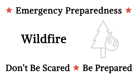## $\star$  Emergency Preparedness  $\star$

# Wildfire

## Don't Be Scared **\* Be Prepared**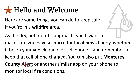## Hello and Welcome

Here are some things you can do to keep safe if you're in a **wildfire** area.

As the dry, hot months approach, you'll want to make sure you have **a source for local news** handy, whether it be on your vehicle radio or cell phone—and remember to keep that cell phone charged. You can also put **Monterey County** Alert or another similar app on your phone to monitor local fire conditions.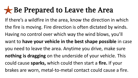#### Be Prepared to Leave the Area

If there's a wildfire in the area, know the direction in which the fire is moving. Fire direction is often dictated by winds. Having no control over which way the wind blows, you'll want to **have your vehicle in the best shape possible** in case you need to leave the area. Anytime you drive, make sure **nothing is dragging** on the underside of your vehicle. This could cause **sparks,** which could then start a **fire.** If your brakes are worn, metal-to-metal contact could cause a fire.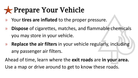### Prepare Your Vehicle

- » Your **tires are inflated** to the proper pressure.
- » **Dispose** of cigarettes, matches, and flammable chemicals you may store in your vehicle.
- » **Replace the air filters** in your vehicle regularly, including any passenger air filters.

Ahead of time, learn where the **exit roads** are **in your area.**  Use a map or drive around to get to know these roads.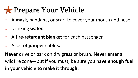#### Prepare Your Vehicle

- » A **mask**, bandana, or scarf to cover your mouth and nose.
- » Drinking **water.**
- » A **fire-retardant blanket** for each passenger.
- » A set of **jumper cables.**

**Never** drive or park on dry grass or brush. **Never** enter a wildfire zone—but if you must, be sure you **have enough fuel in your vehicle to make it through.**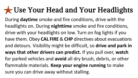#### Use Your Head and Your Headlights

During **daytime** smoke and fire conditions, drive with the headlights on. During **nighttime** smoke and fire conditions, drive with your headlights on low. Turn on fog lights if you have them. Obey **CAL FIRE** & **CHP** directives about evacuations and detours. Visibility might be difficult, so **drive and park in ways that other drivers can predict.** If you pull over, **watch** for parked vehicles and **avoid** all dry brush, debris, or other flammable materials. **Keep your engine running** to make sure you can drive away without stalling.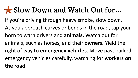#### Slow Down and Watch Out for**…**

If you're driving through heavy smoke, slow down.

As you approach curves or bends in the road, tap your horn to warn drivers and **animals.** Watch out for animals, such as horses, and their **owners.** Yield the right of way to **emergency vehicles.** Move past parked emergency vehicles carefully, watching for **workers on the road.**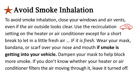#### Avoid Smoke Inhalation

To avoid smoke inhalation, close your windows and air vents, even if the air outside looks clear. Use the recirculation  $\leq$ setting on the heater or air conditioner except for a short break to let in a little fresh air … *IF it is fresh*. Wear your mask, bandana, or scarf over your nose and mouth **if smoke is getting into your vehicle.** Dampen your mask to help block more smoke. If you don't know whether your heater or air conditioner filters the air moving through it, leave it turned off.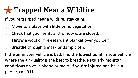## Trapped Near a Wildfire

If you're trapped near a wildfire, **stay calm.**

- » **Move** to a place with little or no vegetation.
- » **Check** that your vents and windows are closed.
- » **Throw** a wool or fire-retardant blanket over yourself.
- » **Breathe** through a mask or damp cloth.

If the air in your vehicle is bad, find the **lowest point** in your vehicle where the air quality is the best to breathe. Regularly **monitor conditions** on your phone or radio. **If you're injured** and have a phone, **call 911.**